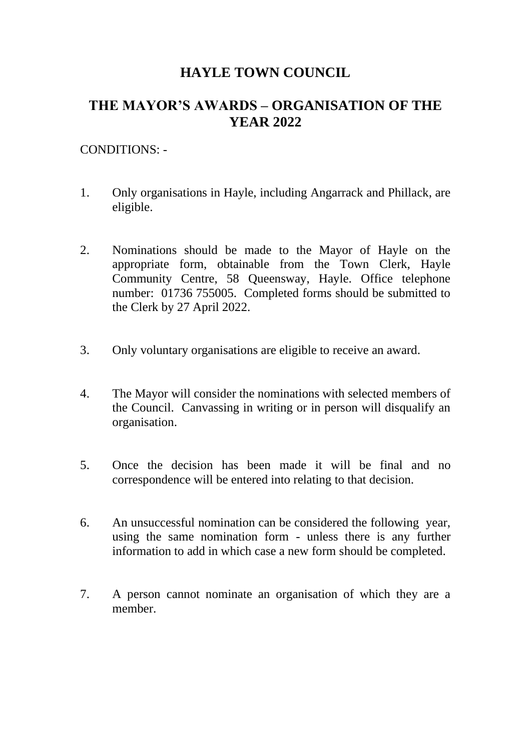## **HAYLE TOWN COUNCIL**

# **THE MAYOR'S AWARDS – ORGANISATION OF THE YEAR 2022**

#### CONDITIONS: -

- 1. Only organisations in Hayle, including Angarrack and Phillack, are eligible.
- 2. Nominations should be made to the Mayor of Hayle on the appropriate form, obtainable from the Town Clerk, Hayle Community Centre, 58 Queensway, Hayle. Office telephone number: 01736 755005. Completed forms should be submitted to the Clerk by 27 April 2022.
- 3. Only voluntary organisations are eligible to receive an award.
- 4. The Mayor will consider the nominations with selected members of the Council. Canvassing in writing or in person will disqualify an organisation.
- 5. Once the decision has been made it will be final and no correspondence will be entered into relating to that decision.
- 6. An unsuccessful nomination can be considered the following year, using the same nomination form - unless there is any further information to add in which case a new form should be completed.
- 7. A person cannot nominate an organisation of which they are a member.